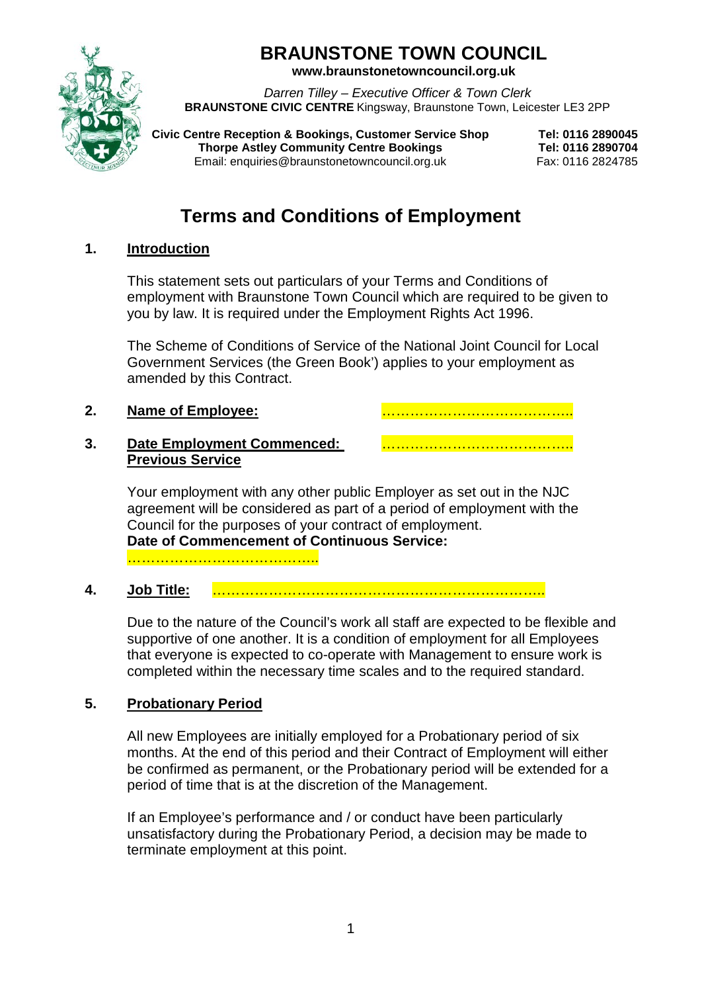# **BRAUNSTONE TOWN COUNCIL**

**www.braunstonetowncouncil.org.uk**

*Darren Tilley – Executive Officer & Town Clerk* **BRAUNSTONE CIVIC CENTRE** Kingsway, Braunstone Town, Leicester LE3 2PP

**Civic Centre Reception & Bookings, Customer Service Shop Tel: 0116 2890045 Thorpe Astley Community Centre Bookings**<br>
Email: enquiries@braunstonetowncouncil.org.uk Fax: 0116 2824785 Email: enquiries@braunstonetowncouncil.org.uk

# **Terms and Conditions of Employment**

# **1. Introduction**

This statement sets out particulars of your Terms and Conditions of employment with Braunstone Town Council which are required to be given to you by law. It is required under the Employment Rights Act 1996.

The Scheme of Conditions of Service of the National Joint Council for Local Government Services (the Green Book') applies to your employment as amended by this Contract.

**2. Name of Employee:** …………………………………..

#### **3. Date Employment Commenced:** ………………………………….. **Previous Service**

Your employment with any other public Employer as set out in the NJC agreement will be considered as part of a period of employment with the Council for the purposes of your contract of employment. **Date of Commencement of Continuous Service:** 

…………………………………………

**4. Job Title:** ……………………………………………………………..

Due to the nature of the Council's work all staff are expected to be flexible and supportive of one another. It is a condition of employment for all Employees that everyone is expected to co-operate with Management to ensure work is completed within the necessary time scales and to the required standard.

# **5. Probationary Period**

All new Employees are initially employed for a Probationary period of six months. At the end of this period and their Contract of Employment will either be confirmed as permanent, or the Probationary period will be extended for a period of time that is at the discretion of the Management.

If an Employee's performance and / or conduct have been particularly unsatisfactory during the Probationary Period, a decision may be made to terminate employment at this point.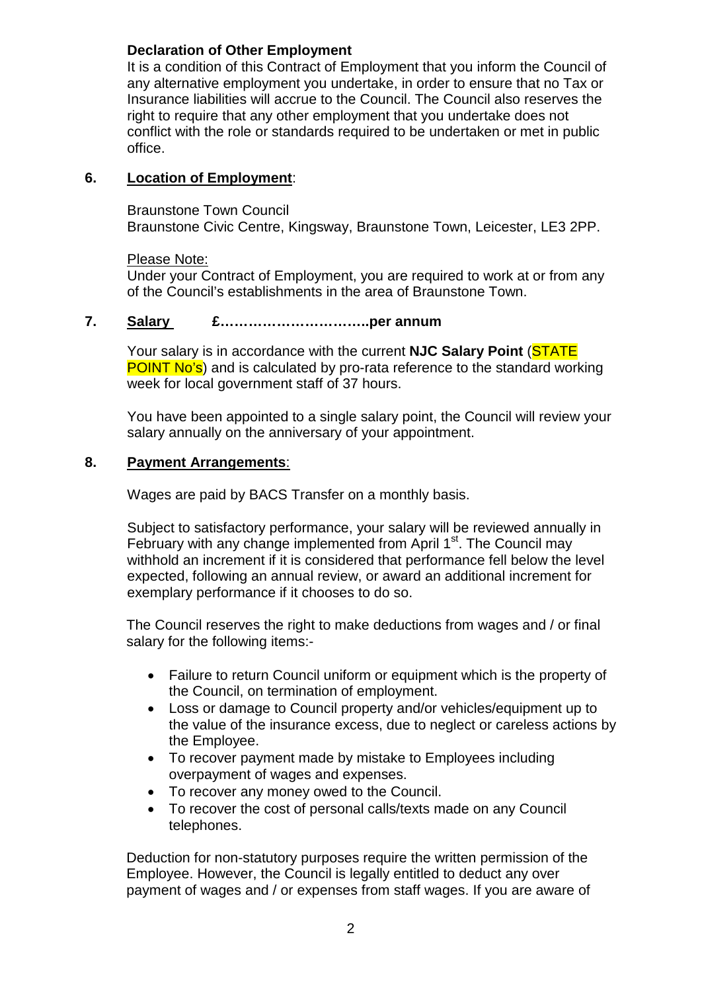# **Declaration of Other Employment**

It is a condition of this Contract of Employment that you inform the Council of any alternative employment you undertake, in order to ensure that no Tax or Insurance liabilities will accrue to the Council. The Council also reserves the right to require that any other employment that you undertake does not conflict with the role or standards required to be undertaken or met in public office.

### **6. Location of Employment**:

Braunstone Town Council Braunstone Civic Centre, Kingsway, Braunstone Town, Leicester, LE3 2PP.

#### Please Note:

Under your Contract of Employment, you are required to work at or from any of the Council's establishments in the area of Braunstone Town.

#### **7. Salary £…………………………..per annum**

Your salary is in accordance with the current **NJC Salary Point** (STATE **POINT No's**) and is calculated by pro-rata reference to the standard working week for local government staff of 37 hours.

You have been appointed to a single salary point, the Council will review your salary annually on the anniversary of your appointment.

#### **8. Payment Arrangements**:

Wages are paid by BACS Transfer on a monthly basis.

Subject to satisfactory performance, your salary will be reviewed annually in February with any change implemented from April  $1<sup>st</sup>$ . The Council may withhold an increment if it is considered that performance fell below the level expected, following an annual review, or award an additional increment for exemplary performance if it chooses to do so.

The Council reserves the right to make deductions from wages and / or final salary for the following items:-

- Failure to return Council uniform or equipment which is the property of the Council, on termination of employment.
- Loss or damage to Council property and/or vehicles/equipment up to the value of the insurance excess, due to neglect or careless actions by the Employee.
- To recover payment made by mistake to Employees including overpayment of wages and expenses.
- To recover any money owed to the Council.
- To recover the cost of personal calls/texts made on any Council telephones.

Deduction for non-statutory purposes require the written permission of the Employee. However, the Council is legally entitled to deduct any over payment of wages and / or expenses from staff wages. If you are aware of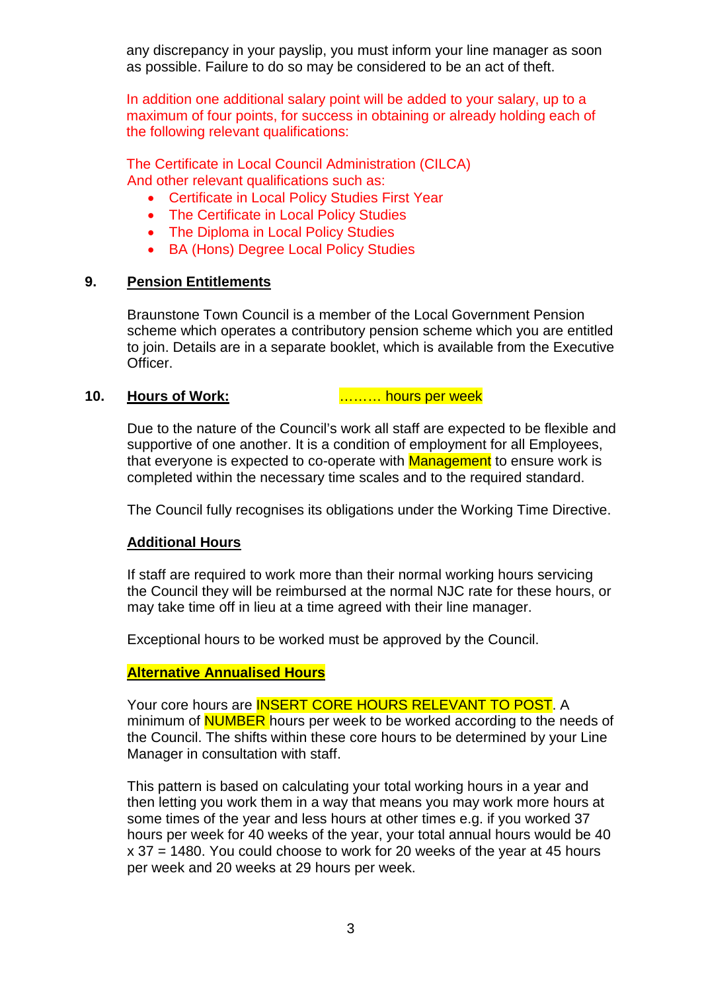any discrepancy in your payslip, you must inform your line manager as soon as possible. Failure to do so may be considered to be an act of theft.

In addition one additional salary point will be added to your salary, up to a maximum of four points, for success in obtaining or already holding each of the following relevant qualifications:

The Certificate in Local Council Administration (CILCA) And other relevant qualifications such as:

- Certificate in Local Policy Studies First Year
- The Certificate in Local Policy Studies
- The Diploma in Local Policy Studies
- BA (Hons) Degree Local Policy Studies

#### **9. Pension Entitlements**

Braunstone Town Council is a member of the Local Government Pension scheme which operates a contributory pension scheme which you are entitled to join. Details are in a separate booklet, which is available from the Executive Officer.

#### **10. Hours of Work:** ……… hours per week

Due to the nature of the Council's work all staff are expected to be flexible and supportive of one another. It is a condition of employment for all Employees, that everyone is expected to co-operate with **Management** to ensure work is completed within the necessary time scales and to the required standard.

The Council fully recognises its obligations under the Working Time Directive.

#### **Additional Hours**

If staff are required to work more than their normal working hours servicing the Council they will be reimbursed at the normal NJC rate for these hours, or may take time off in lieu at a time agreed with their line manager.

Exceptional hours to be worked must be approved by the Council.

#### **Alternative Annualised Hours**

Your core hours are **INSERT CORE HOURS RELEVANT TO POST**. A minimum of **NUMBER** hours per week to be worked according to the needs of the Council. The shifts within these core hours to be determined by your Line Manager in consultation with staff.

This pattern is based on calculating your total working hours in a year and then letting you work them in a way that means you may work more hours at some times of the year and less hours at other times e.g. if you worked 37 hours per week for 40 weeks of the year, your total annual hours would be 40 x 37 = 1480. You could choose to work for 20 weeks of the year at 45 hours per week and 20 weeks at 29 hours per week.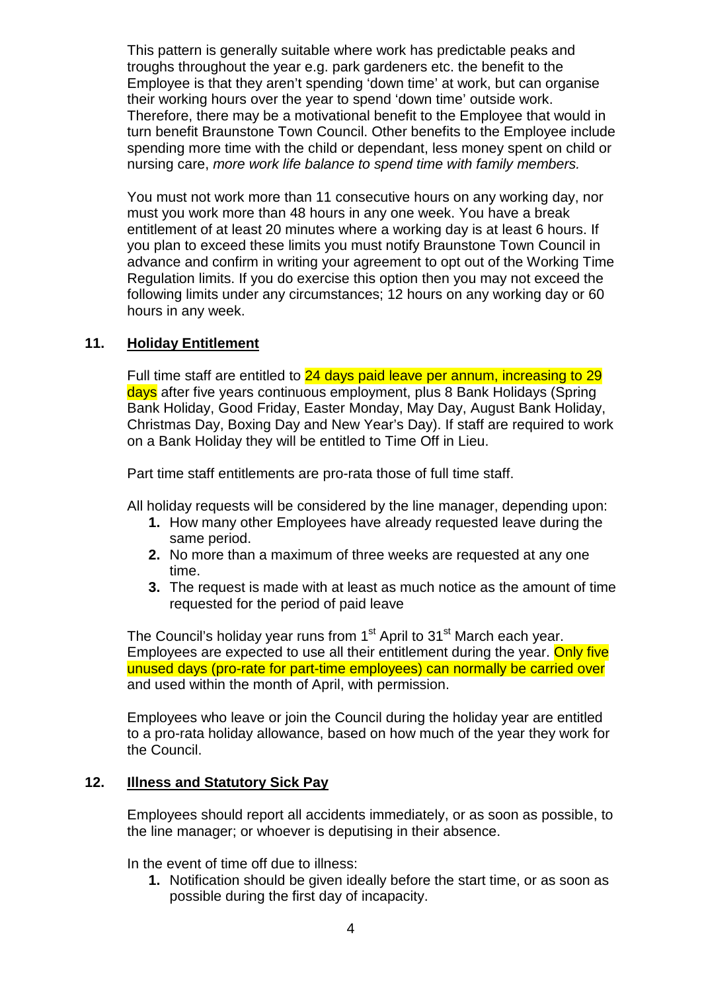This pattern is generally suitable where work has predictable peaks and troughs throughout the year e.g. park gardeners etc. the benefit to the Employee is that they aren't spending 'down time' at work, but can organise their working hours over the year to spend 'down time' outside work. Therefore, there may be a motivational benefit to the Employee that would in turn benefit Braunstone Town Council. Other benefits to the Employee include spending more time with the child or dependant, less money spent on child or nursing care, *more work life balance to spend time with family members.*

You must not work more than 11 consecutive hours on any working day, nor must you work more than 48 hours in any one week. You have a break entitlement of at least 20 minutes where a working day is at least 6 hours. If you plan to exceed these limits you must notify Braunstone Town Council in advance and confirm in writing your agreement to opt out of the Working Time Regulation limits. If you do exercise this option then you may not exceed the following limits under any circumstances; 12 hours on any working day or 60 hours in any week.

### **11. Holiday Entitlement**

Full time staff are entitled to 24 days paid leave per annum, increasing to 29 days after five years continuous employment, plus 8 Bank Holidays (Spring Bank Holiday, Good Friday, Easter Monday, May Day, August Bank Holiday, Christmas Day, Boxing Day and New Year's Day). If staff are required to work on a Bank Holiday they will be entitled to Time Off in Lieu.

Part time staff entitlements are pro-rata those of full time staff.

All holiday requests will be considered by the line manager, depending upon:

- **1.** How many other Employees have already requested leave during the same period.
- **2.** No more than a maximum of three weeks are requested at any one time.
- **3.** The request is made with at least as much notice as the amount of time requested for the period of paid leave

The Council's holiday year runs from  $1<sup>st</sup>$  April to  $31<sup>st</sup>$  March each year. Employees are expected to use all their entitlement during the year. Only five unused days (pro-rate for part-time employees) can normally be carried over and used within the month of April, with permission.

Employees who leave or join the Council during the holiday year are entitled to a pro-rata holiday allowance, based on how much of the year they work for the Council.

#### **12. Illness and Statutory Sick Pay**

Employees should report all accidents immediately, or as soon as possible, to the line manager; or whoever is deputising in their absence.

In the event of time off due to illness:

**1.** Notification should be given ideally before the start time, or as soon as possible during the first day of incapacity.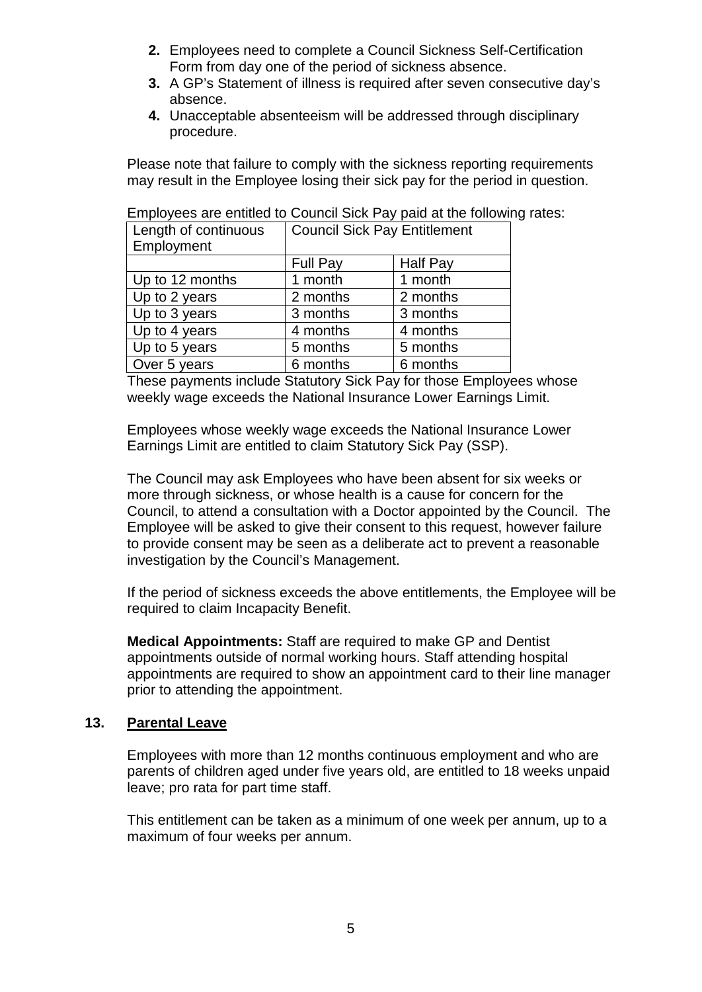- **2.** Employees need to complete a Council Sickness Self-Certification Form from day one of the period of sickness absence.
- **3.** A GP's Statement of illness is required after seven consecutive day's absence.
- **4.** Unacceptable absenteeism will be addressed through disciplinary procedure.

Please note that failure to comply with the sickness reporting requirements may result in the Employee losing their sick pay for the period in question.

| Length of continuous | <b>Council Sick Pay Entitlement</b> |                 |
|----------------------|-------------------------------------|-----------------|
| Employment           |                                     |                 |
|                      | Full Pay                            | <b>Half Pay</b> |
| Up to 12 months      | 1 month                             | 1 month         |
| Up to 2 years        | 2 months                            | 2 months        |
| Up to 3 years        | 3 months                            | 3 months        |
| Up to 4 years        | 4 months                            | 4 months        |
| Up to 5 years        | 5 months                            | 5 months        |
| Over 5 years         | 6 months                            | 6 months        |

Employees are entitled to Council Sick Pay paid at the following rates:

These payments include Statutory Sick Pay for those Employees whose weekly wage exceeds the National Insurance Lower Earnings Limit.

Employees whose weekly wage exceeds the National Insurance Lower Earnings Limit are entitled to claim Statutory Sick Pay (SSP).

The Council may ask Employees who have been absent for six weeks or more through sickness, or whose health is a cause for concern for the Council, to attend a consultation with a Doctor appointed by the Council. The Employee will be asked to give their consent to this request, however failure to provide consent may be seen as a deliberate act to prevent a reasonable investigation by the Council's Management.

If the period of sickness exceeds the above entitlements, the Employee will be required to claim Incapacity Benefit.

**Medical Appointments:** Staff are required to make GP and Dentist appointments outside of normal working hours. Staff attending hospital appointments are required to show an appointment card to their line manager prior to attending the appointment.

#### **13. Parental Leave**

Employees with more than 12 months continuous employment and who are parents of children aged under five years old, are entitled to 18 weeks unpaid leave; pro rata for part time staff.

This entitlement can be taken as a minimum of one week per annum, up to a maximum of four weeks per annum.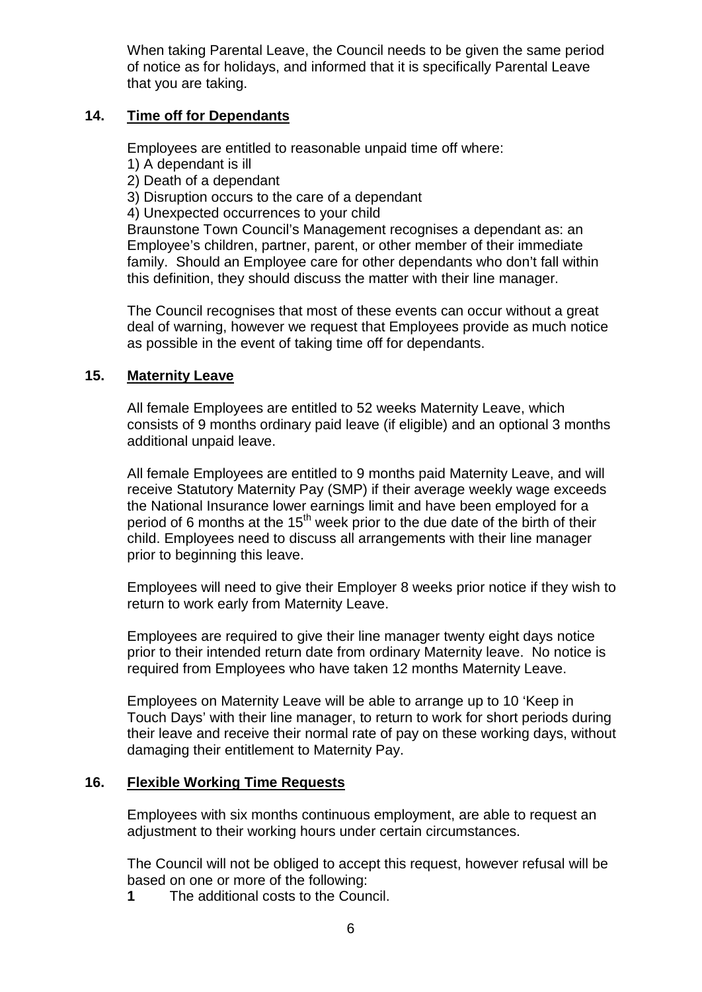When taking Parental Leave, the Council needs to be given the same period of notice as for holidays, and informed that it is specifically Parental Leave that you are taking.

### **14. Time off for Dependants**

Employees are entitled to reasonable unpaid time off where:

- 1) A dependant is ill
- 2) Death of a dependant
- 3) Disruption occurs to the care of a dependant
- 4) Unexpected occurrences to your child

Braunstone Town Council's Management recognises a dependant as: an Employee's children, partner, parent, or other member of their immediate family. Should an Employee care for other dependants who don't fall within this definition, they should discuss the matter with their line manager.

The Council recognises that most of these events can occur without a great deal of warning, however we request that Employees provide as much notice as possible in the event of taking time off for dependants.

### **15. Maternity Leave**

All female Employees are entitled to 52 weeks Maternity Leave, which consists of 9 months ordinary paid leave (if eligible) and an optional 3 months additional unpaid leave.

All female Employees are entitled to 9 months paid Maternity Leave, and will receive Statutory Maternity Pay (SMP) if their average weekly wage exceeds the National Insurance lower earnings limit and have been employed for a period of 6 months at the  $15<sup>th</sup>$  week prior to the due date of the birth of their child. Employees need to discuss all arrangements with their line manager prior to beginning this leave.

Employees will need to give their Employer 8 weeks prior notice if they wish to return to work early from Maternity Leave.

Employees are required to give their line manager twenty eight days notice prior to their intended return date from ordinary Maternity leave. No notice is required from Employees who have taken 12 months Maternity Leave.

Employees on Maternity Leave will be able to arrange up to 10 'Keep in Touch Days' with their line manager, to return to work for short periods during their leave and receive their normal rate of pay on these working days, without damaging their entitlement to Maternity Pay.

#### **16. Flexible Working Time Requests**

Employees with six months continuous employment, are able to request an adjustment to their working hours under certain circumstances.

The Council will not be obliged to accept this request, however refusal will be based on one or more of the following:

**1** The additional costs to the Council.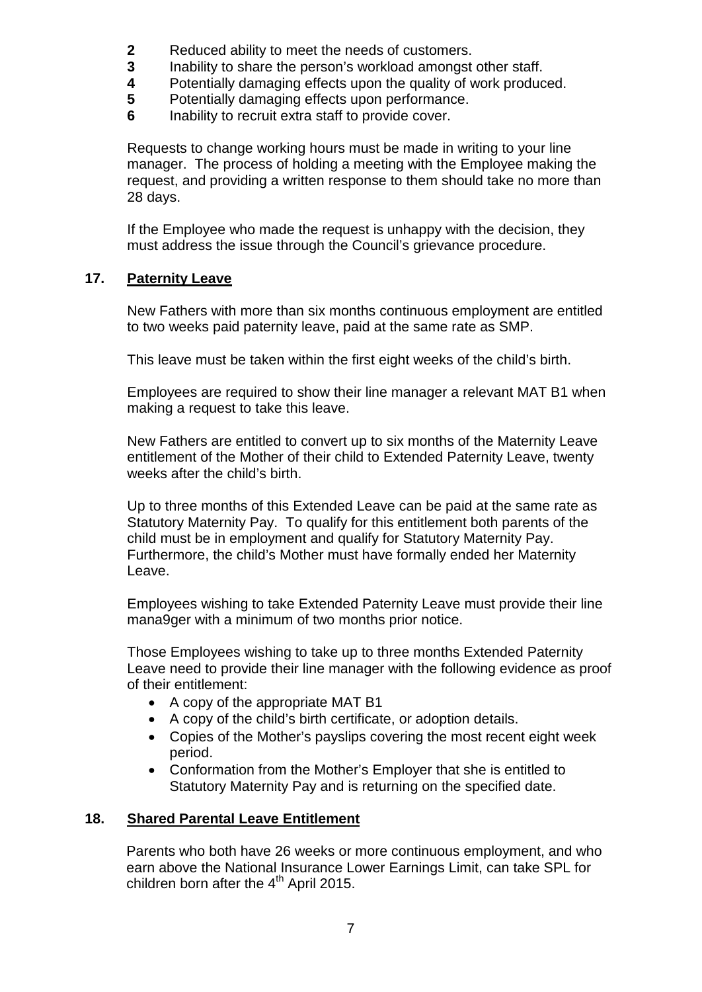- 
- **2** Reduced ability to meet the needs of customers.<br>**3** Inability to share the person's workload amongst **3** Inability to share the person's workload amongst other staff.
- **4** Potentially damaging effects upon the quality of work produced.<br>**5** Potentially damaging effects upon performance.
- **5** Potentially damaging effects upon performance.<br>**6** Inability to recruit extra staff to provide cover
- **6** Inability to recruit extra staff to provide cover.

Requests to change working hours must be made in writing to your line manager. The process of holding a meeting with the Employee making the request, and providing a written response to them should take no more than 28 days.

If the Employee who made the request is unhappy with the decision, they must address the issue through the Council's grievance procedure.

# **17. Paternity Leave**

New Fathers with more than six months continuous employment are entitled to two weeks paid paternity leave, paid at the same rate as SMP.

This leave must be taken within the first eight weeks of the child's birth.

Employees are required to show their line manager a relevant MAT B1 when making a request to take this leave.

New Fathers are entitled to convert up to six months of the Maternity Leave entitlement of the Mother of their child to Extended Paternity Leave, twenty weeks after the child's birth.

Up to three months of this Extended Leave can be paid at the same rate as Statutory Maternity Pay. To qualify for this entitlement both parents of the child must be in employment and qualify for Statutory Maternity Pay. Furthermore, the child's Mother must have formally ended her Maternity Leave.

Employees wishing to take Extended Paternity Leave must provide their line mana9ger with a minimum of two months prior notice.

Those Employees wishing to take up to three months Extended Paternity Leave need to provide their line manager with the following evidence as proof of their entitlement:

- A copy of the appropriate MAT B1
- A copy of the child's birth certificate, or adoption details.
- Copies of the Mother's payslips covering the most recent eight week period.
- Conformation from the Mother's Employer that she is entitled to Statutory Maternity Pay and is returning on the specified date.

# **18. Shared Parental Leave Entitlement**

Parents who both have 26 weeks or more continuous employment, and who earn above the National Insurance Lower Earnings Limit, can take SPL for children born after the 4<sup>th</sup> April 2015.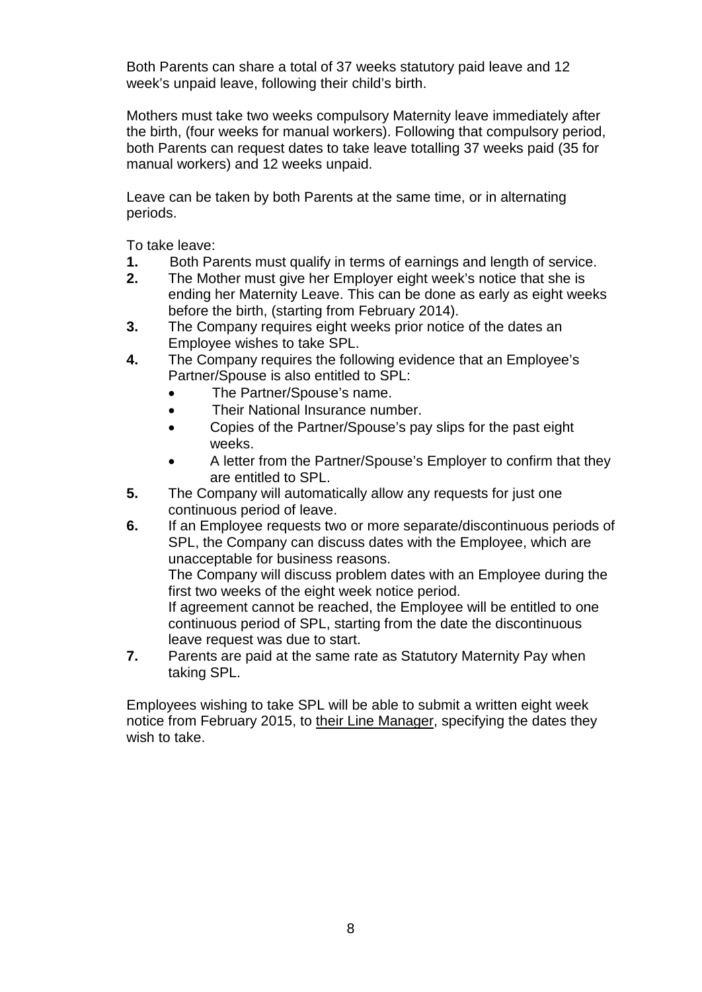Both Parents can share a total of 37 weeks statutory paid leave and 12 week's unpaid leave, following their child's birth.

Mothers must take two weeks compulsory Maternity leave immediately after the birth, (four weeks for manual workers). Following that compulsory period, both Parents can request dates to take leave totalling 37 weeks paid (35 for manual workers) and 12 weeks unpaid.

Leave can be taken by both Parents at the same time, or in alternating periods.

To take leave:

- **1.** Both Parents must qualify in terms of earnings and length of service.
- **2.** The Mother must give her Employer eight week's notice that she is ending her Maternity Leave. This can be done as early as eight weeks before the birth, (starting from February 2014).
- **3.** The Company requires eight weeks prior notice of the dates an Employee wishes to take SPL.
- **4.** The Company requires the following evidence that an Employee's Partner/Spouse is also entitled to SPL:
	- The Partner/Spouse's name.
	- Their National Insurance number.
	- Copies of the Partner/Spouse's pay slips for the past eight weeks.
	- A letter from the Partner/Spouse's Employer to confirm that they are entitled to SPL.
- **5.** The Company will automatically allow any requests for just one continuous period of leave.
- **6.** If an Employee requests two or more separate/discontinuous periods of SPL, the Company can discuss dates with the Employee, which are unacceptable for business reasons.

The Company will discuss problem dates with an Employee during the first two weeks of the eight week notice period.

If agreement cannot be reached, the Employee will be entitled to one continuous period of SPL, starting from the date the discontinuous leave request was due to start.

**7.** Parents are paid at the same rate as Statutory Maternity Pay when taking SPL.

Employees wishing to take SPL will be able to submit a written eight week notice from February 2015, to their Line Manager, specifying the dates they wish to take.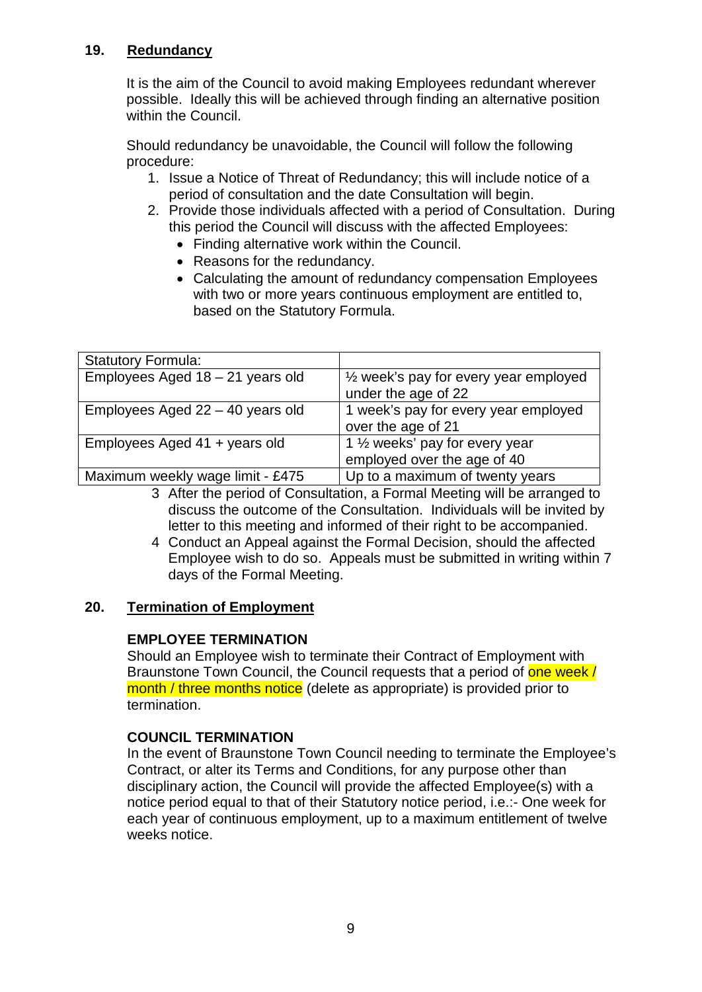# **19. Redundancy**

It is the aim of the Council to avoid making Employees redundant wherever possible. Ideally this will be achieved through finding an alternative position within the Council.

Should redundancy be unavoidable, the Council will follow the following procedure:

- 1. Issue a Notice of Threat of Redundancy; this will include notice of a period of consultation and the date Consultation will begin.
- 2. Provide those individuals affected with a period of Consultation. During this period the Council will discuss with the affected Employees:
	- Finding alternative work within the Council.
	- Reasons for the redundancy.
	- Calculating the amount of redundancy compensation Employees with two or more years continuous employment are entitled to, based on the Statutory Formula.

| <b>Statutory Formula:</b>          |                                                                            |
|------------------------------------|----------------------------------------------------------------------------|
| Employees Aged 18 - 21 years old   | $\frac{1}{2}$ week's pay for every year employed<br>under the age of 22    |
| Employees Aged $22 - 40$ years old | 1 week's pay for every year employed<br>over the age of 21                 |
| Employees Aged $41 +$ years old    | 1 1/ <sub>2</sub> weeks' pay for every year<br>employed over the age of 40 |
| Maximum weekly wage limit - £475   | Up to a maximum of twenty years                                            |

- 3 After the period of Consultation, a Formal Meeting will be arranged to discuss the outcome of the Consultation. Individuals will be invited by letter to this meeting and informed of their right to be accompanied.
- 4 Conduct an Appeal against the Formal Decision, should the affected Employee wish to do so. Appeals must be submitted in writing within 7 days of the Formal Meeting.

#### **20. Termination of Employment**

#### **EMPLOYEE TERMINATION**

Should an Employee wish to terminate their Contract of Employment with Braunstone Town Council, the Council requests that a period of one week / month / three months notice (delete as appropriate) is provided prior to termination.

# **COUNCIL TERMINATION**

In the event of Braunstone Town Council needing to terminate the Employee's Contract, or alter its Terms and Conditions, for any purpose other than disciplinary action, the Council will provide the affected Employee(s) with a notice period equal to that of their Statutory notice period, i.e.:- One week for each year of continuous employment, up to a maximum entitlement of twelve weeks notice.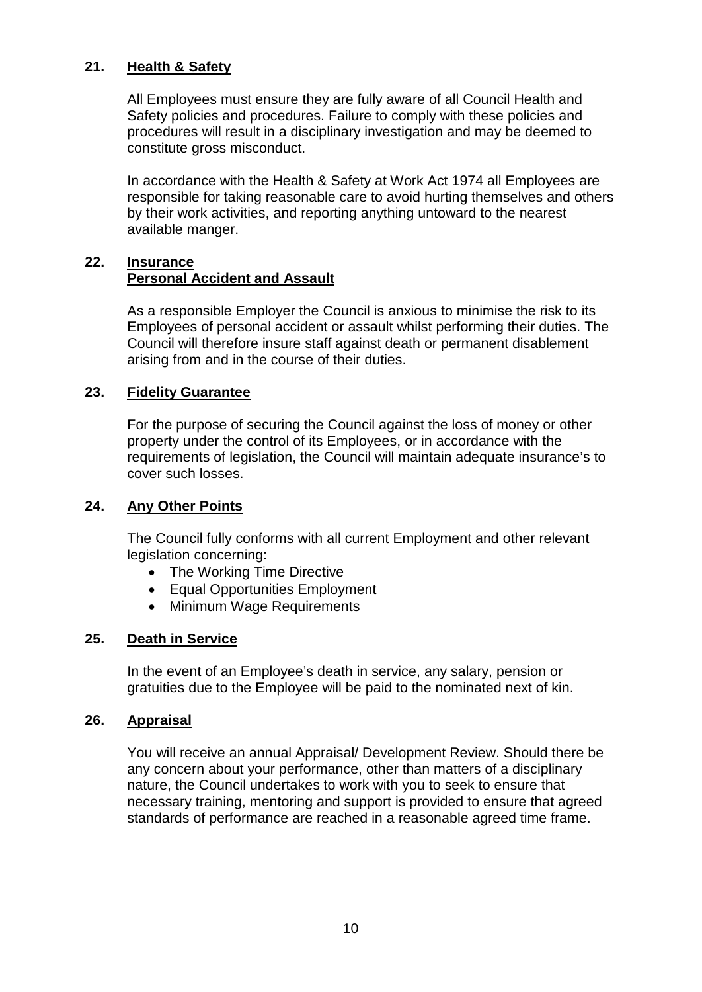# **21. Health & Safety**

All Employees must ensure they are fully aware of all Council Health and Safety policies and procedures. Failure to comply with these policies and procedures will result in a disciplinary investigation and may be deemed to constitute gross misconduct.

In accordance with the Health & Safety at Work Act 1974 all Employees are responsible for taking reasonable care to avoid hurting themselves and others by their work activities, and reporting anything untoward to the nearest available manger.

# **22. Insurance Personal Accident and Assault**

As a responsible Employer the Council is anxious to minimise the risk to its Employees of personal accident or assault whilst performing their duties. The Council will therefore insure staff against death or permanent disablement arising from and in the course of their duties.

### **23. Fidelity Guarantee**

For the purpose of securing the Council against the loss of money or other property under the control of its Employees, or in accordance with the requirements of legislation, the Council will maintain adequate insurance's to cover such losses.

# **24. Any Other Points**

The Council fully conforms with all current Employment and other relevant legislation concerning:

- The Working Time Directive
- Equal Opportunities Employment
- Minimum Wage Requirements

# **25. Death in Service**

In the event of an Employee's death in service, any salary, pension or gratuities due to the Employee will be paid to the nominated next of kin.

#### **26. Appraisal**

You will receive an annual Appraisal/ Development Review. Should there be any concern about your performance, other than matters of a disciplinary nature, the Council undertakes to work with you to seek to ensure that necessary training, mentoring and support is provided to ensure that agreed standards of performance are reached in a reasonable agreed time frame.